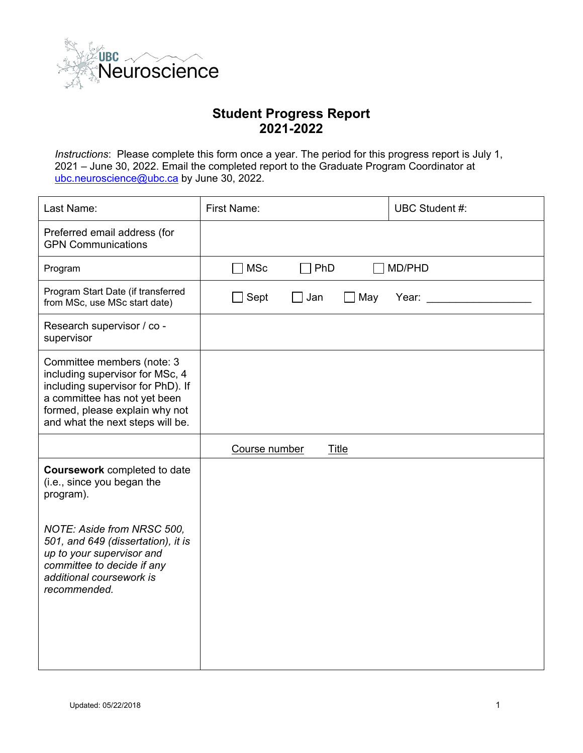

## **Student Progress Report 2021-2022**

*Instructions*: Please complete this form once a year. The period for this progress report is July 1, 2021 – June 30, 2022. Email the completed report to the Graduate Program Coordinator at [ubc.neuroscience@ubc.ca](mailto:ubc.neuroscience@ubc.ca) by June 30, 2022.

| Last Name:                                                                                                                                                                                               | <b>First Name:</b>            | UBC Student #: |
|----------------------------------------------------------------------------------------------------------------------------------------------------------------------------------------------------------|-------------------------------|----------------|
| Preferred email address (for<br><b>GPN Communications</b>                                                                                                                                                |                               |                |
| Program                                                                                                                                                                                                  | <b>MSc</b><br>PhD             | MD/PHD         |
| Program Start Date (if transferred<br>from MSc, use MSc start date)                                                                                                                                      | Sept<br>Jan<br>]May           | Year:          |
| Research supervisor / co -<br>supervisor                                                                                                                                                                 |                               |                |
| Committee members (note: 3<br>including supervisor for MSc, 4<br>including supervisor for PhD). If<br>a committee has not yet been<br>formed, please explain why not<br>and what the next steps will be. |                               |                |
|                                                                                                                                                                                                          | <b>Title</b><br>Course number |                |
| <b>Coursework completed to date</b><br>(i.e., since you began the<br>program).                                                                                                                           |                               |                |
| NOTE: Aside from NRSC 500,<br>501, and 649 (dissertation), it is<br>up to your supervisor and<br>committee to decide if any<br>additional coursework is<br>recommended.                                  |                               |                |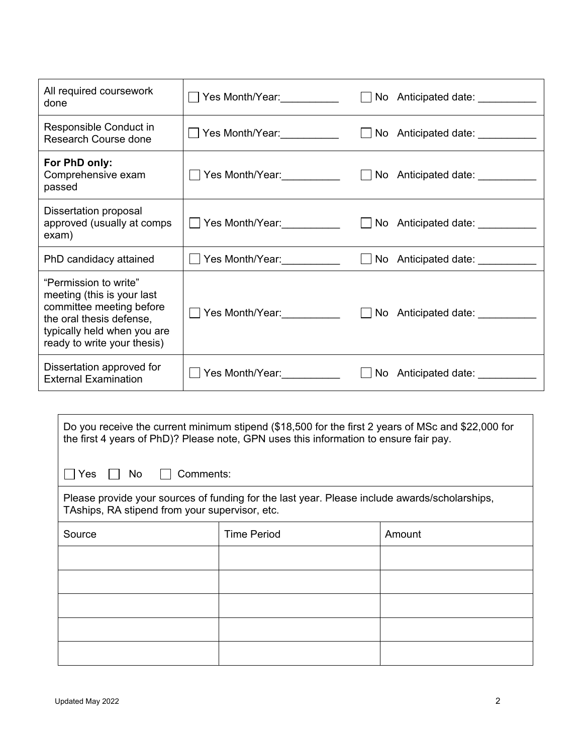| All required coursework<br>done                                                                                                                                           |                                    | □ No Anticipated date: <u>_________</u>  |
|---------------------------------------------------------------------------------------------------------------------------------------------------------------------------|------------------------------------|------------------------------------------|
| Responsible Conduct in<br><b>Research Course done</b>                                                                                                                     | Yes Month/Year:__________          | $\Box$ No Anticipated date: $\Box$       |
| For PhD only:<br>Comprehensive exam<br>passed                                                                                                                             | ◯ Yes Month/Year:___________       | □ No Anticipated date: <u>__________</u> |
| <b>Dissertation proposal</b><br>approved (usually at comps<br>exam)                                                                                                       | ◯ Yes Month/Year: ────────         | $\Box$ No Anticipated date: $\Box$       |
| PhD candidacy attained                                                                                                                                                    | ◯ Yes Month/Year:__________        | □ No Anticipated date: <u>_________</u>  |
| "Permission to write"<br>meeting (this is your last<br>committee meeting before<br>the oral thesis defense,<br>typically held when you are<br>ready to write your thesis) |                                    |                                          |
| Dissertation approved for<br><b>External Examination</b>                                                                                                                  | Yes Month/Year: <u>___________</u> | $\Box$ No Anticipated date:              |

| Do you receive the current minimum stipend (\$18,500 for the first 2 years of MSc and \$22,000 for<br>the first 4 years of PhD)? Please note, GPN uses this information to ensure fair pay. |                    |        |  |  |
|---------------------------------------------------------------------------------------------------------------------------------------------------------------------------------------------|--------------------|--------|--|--|
| Yes<br>Comments:<br>No.                                                                                                                                                                     |                    |        |  |  |
| Please provide your sources of funding for the last year. Please include awards/scholarships,<br>TAships, RA stipend from your supervisor, etc.                                             |                    |        |  |  |
| Source                                                                                                                                                                                      | <b>Time Period</b> | Amount |  |  |
|                                                                                                                                                                                             |                    |        |  |  |
|                                                                                                                                                                                             |                    |        |  |  |
|                                                                                                                                                                                             |                    |        |  |  |
|                                                                                                                                                                                             |                    |        |  |  |
|                                                                                                                                                                                             |                    |        |  |  |